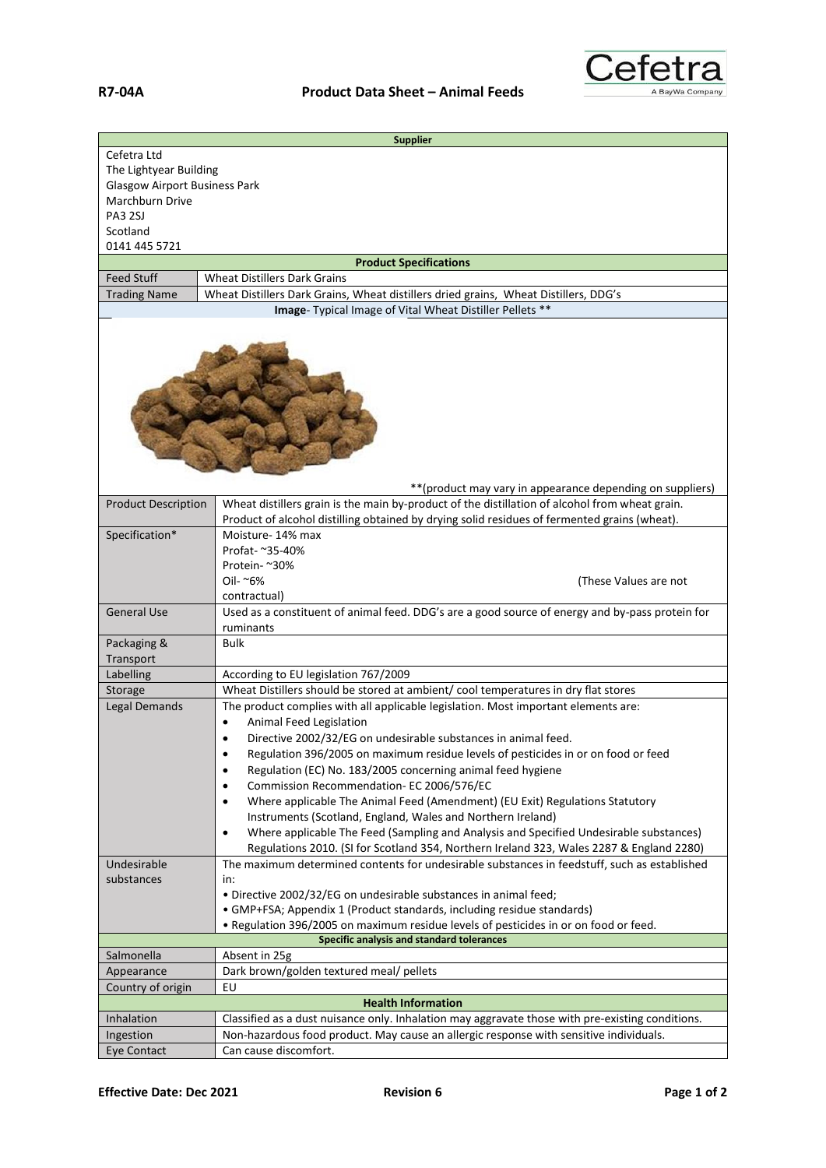

|                                                          | <b>Supplier</b>                                                                                              |  |
|----------------------------------------------------------|--------------------------------------------------------------------------------------------------------------|--|
| Cefetra Ltd                                              |                                                                                                              |  |
| The Lightyear Building                                   |                                                                                                              |  |
| <b>Glasgow Airport Business Park</b>                     |                                                                                                              |  |
| Marchburn Drive                                          |                                                                                                              |  |
| PA3 2SJ                                                  |                                                                                                              |  |
| Scotland                                                 |                                                                                                              |  |
| 0141 445 5721                                            |                                                                                                              |  |
|                                                          | <b>Product Specifications</b>                                                                                |  |
| <b>Feed Stuff</b>                                        | <b>Wheat Distillers Dark Grains</b>                                                                          |  |
| <b>Trading Name</b>                                      | Wheat Distillers Dark Grains, Wheat distillers dried grains, Wheat Distillers, DDG's                         |  |
| Image- Typical Image of Vital Wheat Distiller Pellets ** |                                                                                                              |  |
|                                                          |                                                                                                              |  |
|                                                          | ** (product may vary in appearance depending on suppliers)                                                   |  |
| <b>Product Description</b>                               | Wheat distillers grain is the main by-product of the distillation of alcohol from wheat grain.               |  |
|                                                          | Product of alcohol distilling obtained by drying solid residues of fermented grains (wheat).                 |  |
| Specification*                                           | Moisture-14% max                                                                                             |  |
|                                                          | Profat- ~35-40%                                                                                              |  |
|                                                          | Protein- ~30%                                                                                                |  |
|                                                          | Oil- ~6%<br>(These Values are not                                                                            |  |
|                                                          | contractual)                                                                                                 |  |
| <b>General Use</b>                                       | Used as a constituent of animal feed. DDG's are a good source of energy and by-pass protein for<br>ruminants |  |
| Packaging &                                              | <b>Bulk</b>                                                                                                  |  |
| Transport                                                |                                                                                                              |  |
| Labelling                                                | According to EU legislation 767/2009                                                                         |  |
| Storage                                                  | Wheat Distillers should be stored at ambient/cool temperatures in dry flat stores                            |  |
| <b>Legal Demands</b>                                     | The product complies with all applicable legislation. Most important elements are:                           |  |
|                                                          | Animal Feed Legislation                                                                                      |  |
|                                                          | Directive 2002/32/EG on undesirable substances in animal feed.                                               |  |
|                                                          | Regulation 396/2005 on maximum residue levels of pesticides in or on food or feed<br>٠                       |  |
|                                                          | Regulation (EC) No. 183/2005 concerning animal feed hygiene<br>٠                                             |  |
|                                                          | Commission Recommendation-EC 2006/576/EC<br>٠                                                                |  |
|                                                          | Where applicable The Animal Feed (Amendment) (EU Exit) Regulations Statutory<br>٠                            |  |
|                                                          | Instruments (Scotland, England, Wales and Northern Ireland)                                                  |  |
|                                                          | Where applicable The Feed (Sampling and Analysis and Specified Undesirable substances)<br>٠                  |  |
|                                                          | Regulations 2010. (SI for Scotland 354, Northern Ireland 323, Wales 2287 & England 2280)                     |  |
| Undesirable                                              | The maximum determined contents for undesirable substances in feedstuff, such as established                 |  |
| substances                                               | in:                                                                                                          |  |
|                                                          | . Directive 2002/32/EG on undesirable substances in animal feed;                                             |  |
|                                                          | • GMP+FSA; Appendix 1 (Product standards, including residue standards)                                       |  |
|                                                          | . Regulation 396/2005 on maximum residue levels of pesticides in or on food or feed.                         |  |
| Salmonella                                               | Specific analysis and standard tolerances                                                                    |  |
|                                                          | Absent in 25g<br>Dark brown/golden textured meal/ pellets                                                    |  |
| Appearance<br>Country of origin                          | EU                                                                                                           |  |
|                                                          | <b>Health Information</b>                                                                                    |  |
| Inhalation                                               | Classified as a dust nuisance only. Inhalation may aggravate those with pre-existing conditions.             |  |
| Ingestion                                                | Non-hazardous food product. May cause an allergic response with sensitive individuals.                       |  |
| Eye Contact                                              | Can cause discomfort.                                                                                        |  |
|                                                          |                                                                                                              |  |